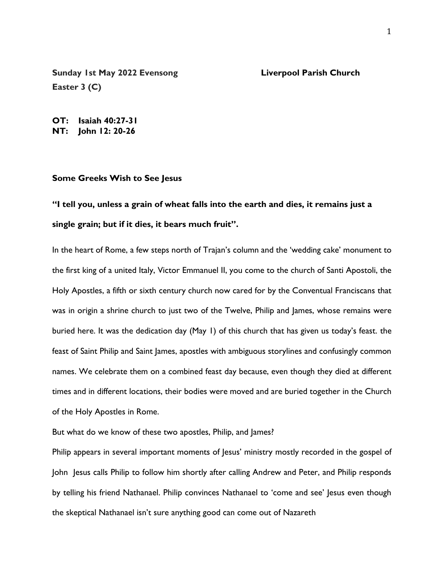**Sunday 1st May 2022 Evensong Liverpool Parish Church Easter 3 (C)**

**OT: Isaiah 40:27-31 NT: John 12: 20-26**

## **Some Greeks Wish to See Jesus**

## **"I tell you, unless a grain of wheat falls into the earth and dies, it remains just a single grain; but if it dies, it bears much fruit".**

In the heart of Rome, a few steps north of Trajan's column and the 'wedding cake' monument to the first king of a united Italy, Victor Emmanuel II, you come to the church of Santi Apostoli, the Holy Apostles, a fifth or sixth century church now cared for by the Conventual Franciscans that was in origin a shrine church to just two of the Twelve, Philip and James, whose remains were buried here. It was the dedication day (May 1) of this church that has given us today's feast. the feast of Saint Philip and Saint James, apostles with ambiguous storylines and confusingly common names. We celebrate them on a combined feast day because, even though they died at different times and in different locations, their bodies were moved and are buried together in the Church of the Holy Apostles in Rome.

But what do we know of these two apostles, Philip, and James?

Philip appears in several important moments of Jesus' ministry mostly recorded in the gospel of John Jesus calls Philip to follow him shortly after calling Andrew and Peter, and Philip responds by telling his friend Nathanael. Philip convinces Nathanael to 'come and see' Jesus even though the skeptical Nathanael isn't sure anything good can come out of Nazareth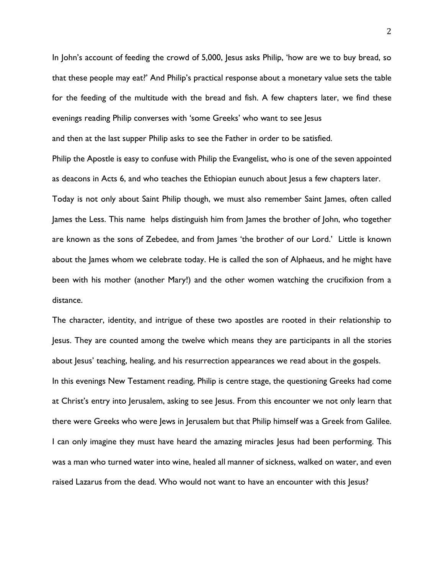In John's account of feeding the crowd of 5,000, Jesus asks Philip, 'how are we to buy bread, so that these people may eat?' And Philip's practical response about a monetary value sets the table for the feeding of the multitude with the bread and fish. A few chapters later, we find these evenings reading Philip converses with 'some Greeks' who want to see Jesus

and then at the last supper Philip asks to see the Father in order to be satisfied.

Philip the Apostle is easy to confuse with Philip the Evangelist, who is one of the seven appointed as deacons in Acts 6, and who teaches the Ethiopian eunuch about Jesus a few chapters later.

Today is not only about Saint Philip though, we must also remember Saint James, often called James the Less. This name helps distinguish him from James the brother of John, who together are known as the sons of Zebedee, and from James 'the brother of our Lord.' Little is known about the James whom we celebrate today. He is called the son of Alphaeus, and he might have been with his mother (another Mary!) and the other women watching the crucifixion from a distance.

The character, identity, and intrigue of these two apostles are rooted in their relationship to Jesus. They are counted among the twelve which means they are participants in all the stories about Jesus' teaching, healing, and his resurrection appearances we read about in the gospels. In this evenings New Testament reading, Philip is centre stage, the questioning Greeks had come at Christ's entry into Jerusalem, asking to see Jesus. From this encounter we not only learn that there were Greeks who were Jews in Jerusalem but that Philip himself was a Greek from Galilee. I can only imagine they must have heard the amazing miracles Jesus had been performing. This was a man who turned water into wine, healed all manner of sickness, walked on water, and even raised Lazarus from the dead. Who would not want to have an encounter with this Jesus?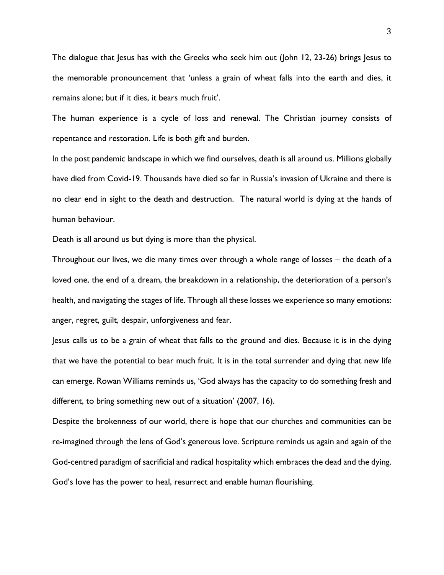The dialogue that Jesus has with the Greeks who seek him out (John 12, 23-26) brings Jesus to the memorable pronouncement that 'unless a grain of wheat falls into the earth and dies, it remains alone; but if it dies, it bears much fruit'.

The human experience is a cycle of loss and renewal. The Christian journey consists of repentance and restoration. Life is both gift and burden.

In the post pandemic landscape in which we find ourselves, death is all around us. Millions globally have died from Covid-19. Thousands have died so far in Russia's invasion of Ukraine and there is no clear end in sight to the death and destruction. The natural world is dying at the hands of human behaviour.

Death is all around us but dying is more than the physical.

Throughout our lives, we die many times over through a whole range of losses – the death of a loved one, the end of a dream, the breakdown in a relationship, the deterioration of a person's health, and navigating the stages of life. Through all these losses we experience so many emotions: anger, regret, guilt, despair, unforgiveness and fear.

Jesus calls us to be a grain of wheat that falls to the ground and dies. Because it is in the dying that we have the potential to bear much fruit. It is in the total surrender and dying that new life can emerge. Rowan Williams reminds us, 'God always has the capacity to do something fresh and different, to bring something new out of a situation' (2007, 16).

Despite the brokenness of our world, there is hope that our churches and communities can be re-imagined through the lens of God's generous love. Scripture reminds us again and again of the God-centred paradigm of sacrificial and radical hospitality which embraces the dead and the dying. God's love has the power to heal, resurrect and enable human flourishing.